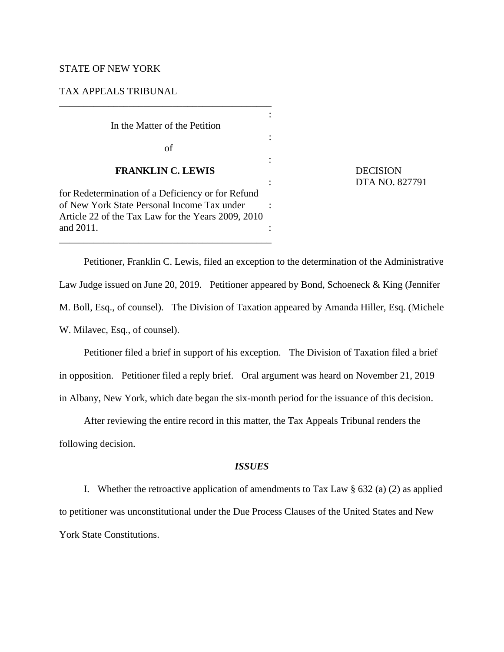## STATE OF NEW YORK

## TAX APPEALS TRIBUNAL

| In the Matter of the Petition                                                                                                                                       |  |
|---------------------------------------------------------------------------------------------------------------------------------------------------------------------|--|
| οf                                                                                                                                                                  |  |
| <b>FRANKLIN C. LEWIS</b>                                                                                                                                            |  |
| for Redetermination of a Deficiency or for Refund<br>of New York State Personal Income Tax under<br>Article 22 of the Tax Law for the Years 2009, 2010<br>and 2011. |  |

\_\_\_\_\_\_\_\_\_\_\_\_\_\_\_\_\_\_\_\_\_\_\_\_\_\_\_\_\_\_\_\_\_\_\_\_\_\_\_\_\_\_\_

**DECISION** : DTA NO. 827791

Petitioner, Franklin C. Lewis, filed an exception to the determination of the Administrative Law Judge issued on June 20, 2019. Petitioner appeared by Bond, Schoeneck & King (Jennifer M. Boll, Esq., of counsel). The Division of Taxation appeared by Amanda Hiller, Esq. (Michele W. Milavec, Esq., of counsel).

Petitioner filed a brief in support of his exception. The Division of Taxation filed a brief in opposition. Petitioner filed a reply brief. Oral argument was heard on November 21, 2019 in Albany, New York, which date began the six-month period for the issuance of this decision.

After reviewing the entire record in this matter, the Tax Appeals Tribunal renders the following decision.

# *ISSUES*

I. Whether the retroactive application of amendments to Tax Law  $\S 632$  (a) (2) as applied to petitioner was unconstitutional under the Due Process Clauses of the United States and New York State Constitutions.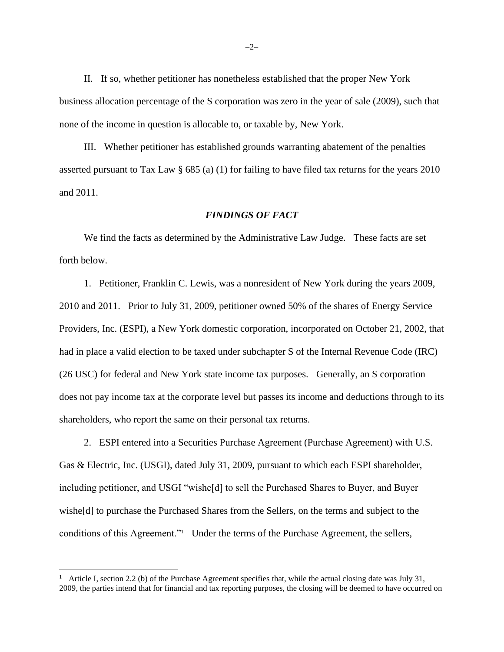II. If so, whether petitioner has nonetheless established that the proper New York business allocation percentage of the S corporation was zero in the year of sale (2009), such that none of the income in question is allocable to, or taxable by, New York.

III. Whether petitioner has established grounds warranting abatement of the penalties asserted pursuant to Tax Law § 685 (a) (1) for failing to have filed tax returns for the years 2010 and 2011.

### *FINDINGS OF FACT*

We find the facts as determined by the Administrative Law Judge. These facts are set forth below.

1. Petitioner, Franklin C. Lewis, was a nonresident of New York during the years 2009, 2010 and 2011. Prior to July 31, 2009, petitioner owned 50% of the shares of Energy Service Providers, Inc. (ESPI), a New York domestic corporation, incorporated on October 21, 2002, that had in place a valid election to be taxed under subchapter S of the Internal Revenue Code (IRC) (26 USC) for federal and New York state income tax purposes. Generally, an S corporation does not pay income tax at the corporate level but passes its income and deductions through to its shareholders, who report the same on their personal tax returns.

2. ESPI entered into a Securities Purchase Agreement (Purchase Agreement) with U.S. Gas & Electric, Inc. (USGI), dated July 31, 2009, pursuant to which each ESPI shareholder, including petitioner, and USGI "wishe[d] to sell the Purchased Shares to Buyer, and Buyer wishe[d] to purchase the Purchased Shares from the Sellers, on the terms and subject to the conditions of this Agreement."<sup>1</sup> Under the terms of the Purchase Agreement, the sellers,

<sup>1</sup> Article I, section 2.2 (b) of the Purchase Agreement specifies that, while the actual closing date was July 31, 2009, the parties intend that for financial and tax reporting purposes, the closing will be deemed to have occurred on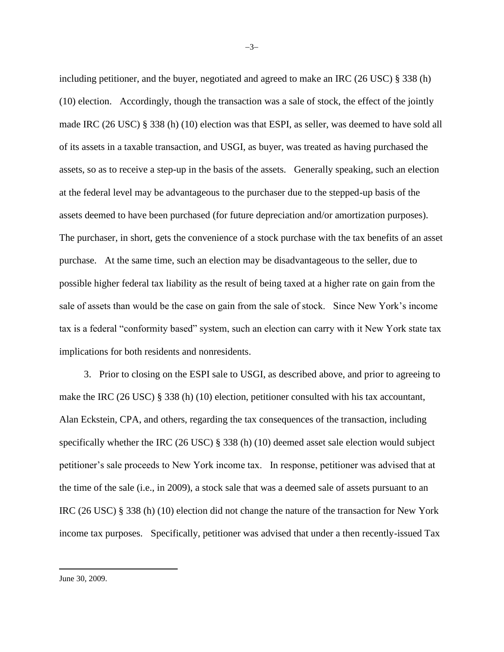including petitioner, and the buyer, negotiated and agreed to make an IRC  $(26 \text{ USC}) \text{ }$   $\S 338$  (h) (10) election. Accordingly, though the transaction was a sale of stock, the effect of the jointly made IRC (26 USC) § 338 (h) (10) election was that ESPI, as seller, was deemed to have sold all of its assets in a taxable transaction, and USGI, as buyer, was treated as having purchased the assets, so as to receive a step-up in the basis of the assets. Generally speaking, such an election at the federal level may be advantageous to the purchaser due to the stepped-up basis of the assets deemed to have been purchased (for future depreciation and/or amortization purposes). The purchaser, in short, gets the convenience of a stock purchase with the tax benefits of an asset purchase. At the same time, such an election may be disadvantageous to the seller, due to possible higher federal tax liability as the result of being taxed at a higher rate on gain from the sale of assets than would be the case on gain from the sale of stock. Since New York's income tax is a federal "conformity based" system, such an election can carry with it New York state tax implications for both residents and nonresidents.

3. Prior to closing on the ESPI sale to USGI, as described above, and prior to agreeing to make the IRC (26 USC) § 338 (h) (10) election, petitioner consulted with his tax accountant, Alan Eckstein, CPA, and others, regarding the tax consequences of the transaction, including specifically whether the IRC (26 USC) § 338 (h) (10) deemed asset sale election would subject petitioner's sale proceeds to New York income tax. In response, petitioner was advised that at the time of the sale (i.e., in 2009), a stock sale that was a deemed sale of assets pursuant to an IRC (26 USC) § 338 (h) (10) election did not change the nature of the transaction for New York income tax purposes. Specifically, petitioner was advised that under a then recently-issued Tax

June 30, 2009.

−3−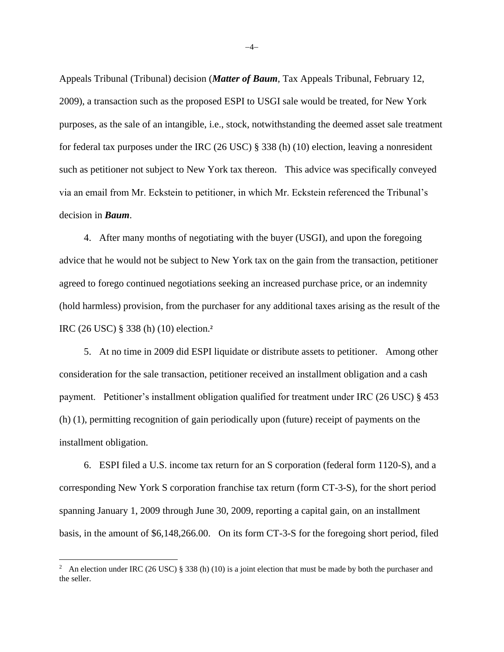Appeals Tribunal (Tribunal) decision (*Matter of Baum*, Tax Appeals Tribunal, February 12, 2009), a transaction such as the proposed ESPI to USGI sale would be treated, for New York purposes, as the sale of an intangible, i.e., stock, notwithstanding the deemed asset sale treatment for federal tax purposes under the IRC (26 USC) § 338 (h) (10) election, leaving a nonresident such as petitioner not subject to New York tax thereon. This advice was specifically conveyed via an email from Mr. Eckstein to petitioner, in which Mr. Eckstein referenced the Tribunal's decision in *Baum*.

4. After many months of negotiating with the buyer (USGI), and upon the foregoing advice that he would not be subject to New York tax on the gain from the transaction, petitioner agreed to forego continued negotiations seeking an increased purchase price, or an indemnity (hold harmless) provision, from the purchaser for any additional taxes arising as the result of the IRC (26 USC) § 338 (h) (10) election.**<sup>2</sup>**

5. At no time in 2009 did ESPI liquidate or distribute assets to petitioner. Among other consideration for the sale transaction, petitioner received an installment obligation and a cash payment. Petitioner's installment obligation qualified for treatment under IRC (26 USC) § 453 (h) (1), permitting recognition of gain periodically upon (future) receipt of payments on the installment obligation.

6. ESPI filed a U.S. income tax return for an S corporation (federal form 1120-S), and a corresponding New York S corporation franchise tax return (form CT-3-S), for the short period spanning January 1, 2009 through June 30, 2009, reporting a capital gain, on an installment basis, in the amount of \$6,148,266.00. On its form CT-3-S for the foregoing short period, filed

−4−

<sup>&</sup>lt;sup>2</sup> An election under IRC (26 USC) § 338 (h) (10) is a joint election that must be made by both the purchaser and the seller.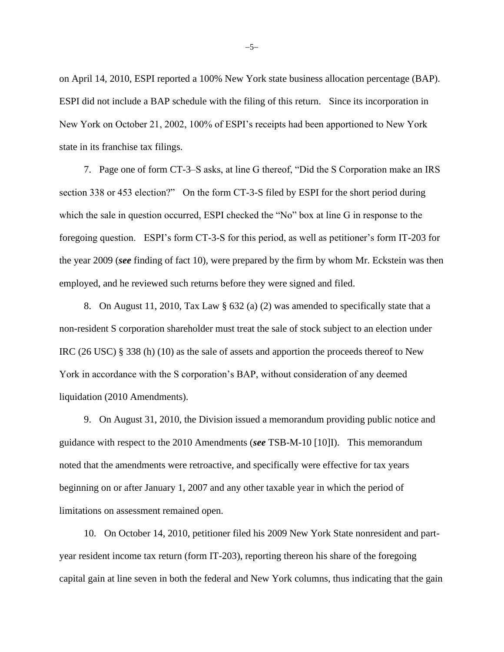on April 14, 2010, ESPI reported a 100% New York state business allocation percentage (BAP). ESPI did not include a BAP schedule with the filing of this return. Since its incorporation in New York on October 21, 2002, 100% of ESPI's receipts had been apportioned to New York state in its franchise tax filings.

7. Page one of form CT-3–S asks, at line G thereof, "Did the S Corporation make an IRS section 338 or 453 election?" On the form CT-3-S filed by ESPI for the short period during which the sale in question occurred, ESPI checked the "No" box at line G in response to the foregoing question. ESPI's form CT-3-S for this period, as well as petitioner's form IT-203 for the year 2009 (*see* finding of fact 10), were prepared by the firm by whom Mr. Eckstein was then employed, and he reviewed such returns before they were signed and filed.

8. On August 11, 2010, Tax Law § 632 (a) (2) was amended to specifically state that a non-resident S corporation shareholder must treat the sale of stock subject to an election under IRC (26 USC) § 338 (h) (10) as the sale of assets and apportion the proceeds thereof to New York in accordance with the S corporation's BAP, without consideration of any deemed liquidation (2010 Amendments).

9. On August 31, 2010, the Division issued a memorandum providing public notice and guidance with respect to the 2010 Amendments (*see* TSB-M-10 [10]I). This memorandum noted that the amendments were retroactive, and specifically were effective for tax years beginning on or after January 1, 2007 and any other taxable year in which the period of limitations on assessment remained open.

10. On October 14, 2010, petitioner filed his 2009 New York State nonresident and partyear resident income tax return (form IT-203), reporting thereon his share of the foregoing capital gain at line seven in both the federal and New York columns, thus indicating that the gain

−5−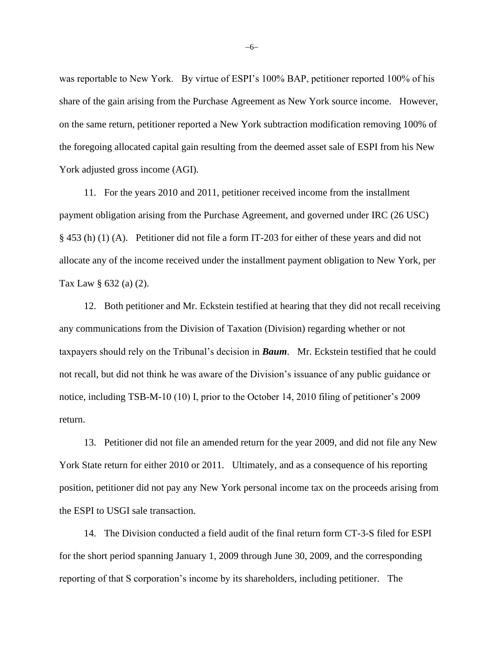was reportable to New York. By virtue of ESPI's 100% BAP, petitioner reported 100% of his share of the gain arising from the Purchase Agreement as New York source income. However, on the same return, petitioner reported a New York subtraction modification removing 100% of the foregoing allocated capital gain resulting from the deemed asset sale of ESPI from his New York adjusted gross income (AGI).

11. For the years 2010 and 2011, petitioner received income from the installment payment obligation arising from the Purchase Agreement, and governed under IRC (26 USC) § 453 (h) (1) (A). Petitioner did not file a form IT-203 for either of these years and did not allocate any of the income received under the installment payment obligation to New York, per Tax Law § 632 (a) (2).

12. Both petitioner and Mr. Eckstein testified at hearing that they did not recall receiving any communications from the Division of Taxation (Division) regarding whether or not taxpayers should rely on the Tribunal's decision in *Baum*. Mr. Eckstein testified that he could not recall, but did not think he was aware of the Division's issuance of any public guidance or notice, including TSB-M-10 (10) I, prior to the October 14, 2010 filing of petitioner's 2009 return.

13. Petitioner did not file an amended return for the year 2009, and did not file any New York State return for either 2010 or 2011. Ultimately, and as a consequence of his reporting position, petitioner did not pay any New York personal income tax on the proceeds arising from the ESPI to USGI sale transaction.

14. The Division conducted a field audit of the final return form CT-3-S filed for ESPI for the short period spanning January 1, 2009 through June 30, 2009, and the corresponding reporting of that S corporation's income by its shareholders, including petitioner. The

−6−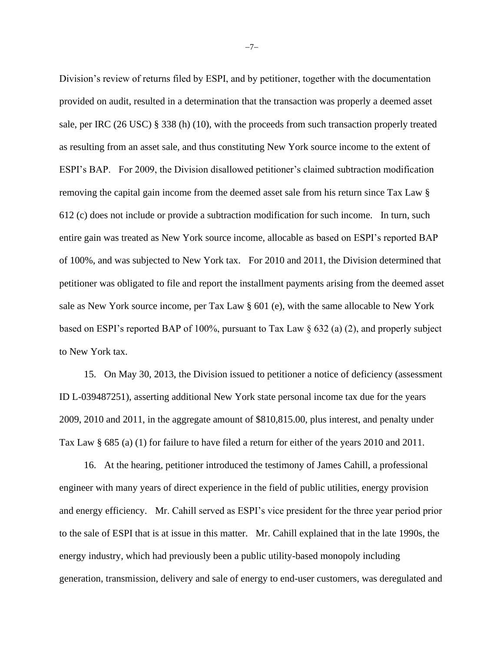Division's review of returns filed by ESPI, and by petitioner, together with the documentation provided on audit, resulted in a determination that the transaction was properly a deemed asset sale, per IRC (26 USC) § 338 (h) (10), with the proceeds from such transaction properly treated as resulting from an asset sale, and thus constituting New York source income to the extent of ESPI's BAP. For 2009, the Division disallowed petitioner's claimed subtraction modification removing the capital gain income from the deemed asset sale from his return since Tax Law § 612 (c) does not include or provide a subtraction modification for such income. In turn, such entire gain was treated as New York source income, allocable as based on ESPI's reported BAP of 100%, and was subjected to New York tax. For 2010 and 2011, the Division determined that petitioner was obligated to file and report the installment payments arising from the deemed asset sale as New York source income, per Tax Law § 601 (e), with the same allocable to New York based on ESPI's reported BAP of 100%, pursuant to Tax Law § 632 (a) (2), and properly subject to New York tax.

15. On May 30, 2013, the Division issued to petitioner a notice of deficiency (assessment ID L-039487251), asserting additional New York state personal income tax due for the years 2009, 2010 and 2011, in the aggregate amount of \$810,815.00, plus interest, and penalty under Tax Law § 685 (a) (1) for failure to have filed a return for either of the years 2010 and 2011.

16. At the hearing, petitioner introduced the testimony of James Cahill, a professional engineer with many years of direct experience in the field of public utilities, energy provision and energy efficiency. Mr. Cahill served as ESPI's vice president for the three year period prior to the sale of ESPI that is at issue in this matter. Mr. Cahill explained that in the late 1990s, the energy industry, which had previously been a public utility-based monopoly including generation, transmission, delivery and sale of energy to end-user customers, was deregulated and

−7−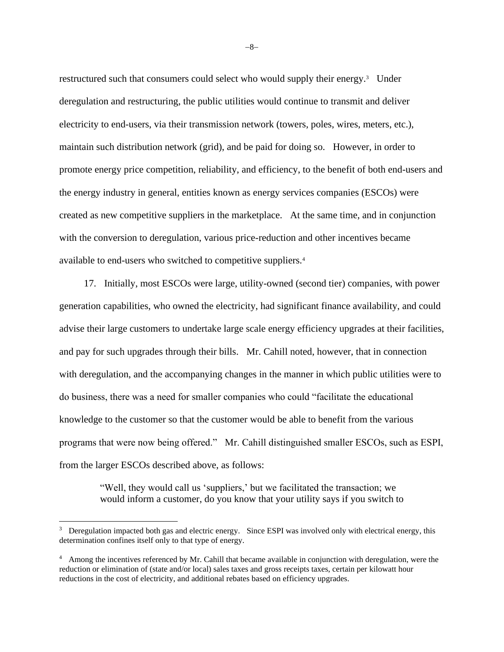restructured such that consumers could select who would supply their energy.<sup>3</sup> Under deregulation and restructuring, the public utilities would continue to transmit and deliver electricity to end-users, via their transmission network (towers, poles, wires, meters, etc.), maintain such distribution network (grid), and be paid for doing so. However, in order to promote energy price competition, reliability, and efficiency, to the benefit of both end-users and the energy industry in general, entities known as energy services companies (ESCOs) were created as new competitive suppliers in the marketplace. At the same time, and in conjunction with the conversion to deregulation, various price-reduction and other incentives became available to end-users who switched to competitive suppliers.<sup>4</sup>

17. Initially, most ESCOs were large, utility-owned (second tier) companies, with power generation capabilities, who owned the electricity, had significant finance availability, and could advise their large customers to undertake large scale energy efficiency upgrades at their facilities, and pay for such upgrades through their bills. Mr. Cahill noted, however, that in connection with deregulation, and the accompanying changes in the manner in which public utilities were to do business, there was a need for smaller companies who could "facilitate the educational knowledge to the customer so that the customer would be able to benefit from the various programs that were now being offered." Mr. Cahill distinguished smaller ESCOs, such as ESPI, from the larger ESCOs described above, as follows:

> "Well, they would call us 'suppliers,' but we facilitated the transaction; we would inform a customer, do you know that your utility says if you switch to

−8−

<sup>&</sup>lt;sup>3</sup> Deregulation impacted both gas and electric energy. Since ESPI was involved only with electrical energy, this determination confines itself only to that type of energy.

<sup>&</sup>lt;sup>4</sup> Among the incentives referenced by Mr. Cahill that became available in conjunction with deregulation, were the reduction or elimination of (state and/or local) sales taxes and gross receipts taxes, certain per kilowatt hour reductions in the cost of electricity, and additional rebates based on efficiency upgrades.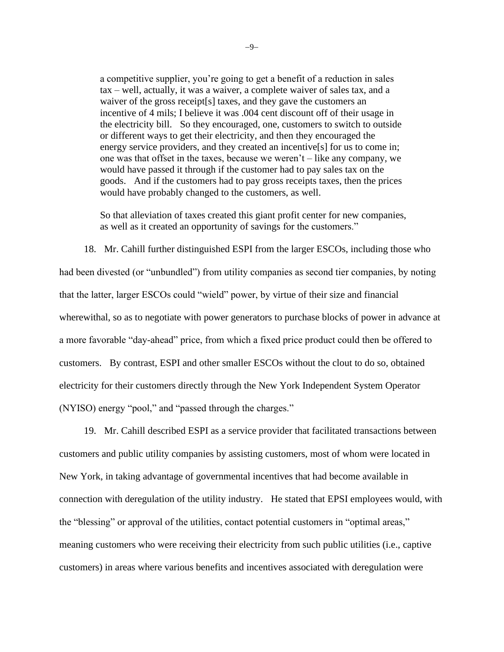a competitive supplier, you're going to get a benefit of a reduction in sales tax – well, actually, it was a waiver, a complete waiver of sales tax, and a waiver of the gross receipt[s] taxes, and they gave the customers an incentive of 4 mils; I believe it was .004 cent discount off of their usage in the electricity bill. So they encouraged, one, customers to switch to outside or different ways to get their electricity, and then they encouraged the energy service providers, and they created an incentive[s] for us to come in; one was that offset in the taxes, because we weren't – like any company, we would have passed it through if the customer had to pay sales tax on the goods. And if the customers had to pay gross receipts taxes, then the prices would have probably changed to the customers, as well.

So that alleviation of taxes created this giant profit center for new companies, as well as it created an opportunity of savings for the customers."

18. Mr. Cahill further distinguished ESPI from the larger ESCOs, including those who had been divested (or "unbundled") from utility companies as second tier companies, by noting that the latter, larger ESCOs could "wield" power, by virtue of their size and financial wherewithal, so as to negotiate with power generators to purchase blocks of power in advance at a more favorable "day-ahead" price, from which a fixed price product could then be offered to customers. By contrast, ESPI and other smaller ESCOs without the clout to do so, obtained electricity for their customers directly through the New York Independent System Operator (NYISO) energy "pool," and "passed through the charges."

19. Mr. Cahill described ESPI as a service provider that facilitated transactions between customers and public utility companies by assisting customers, most of whom were located in New York, in taking advantage of governmental incentives that had become available in connection with deregulation of the utility industry. He stated that EPSI employees would, with the "blessing" or approval of the utilities, contact potential customers in "optimal areas," meaning customers who were receiving their electricity from such public utilities (i.e., captive customers) in areas where various benefits and incentives associated with deregulation were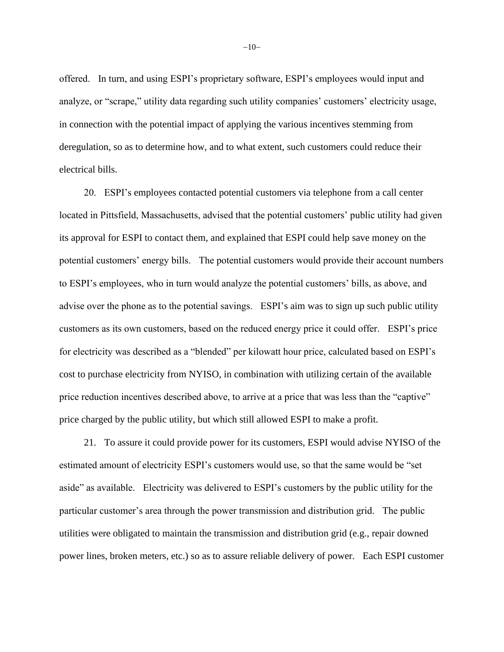offered. In turn, and using ESPI's proprietary software, ESPI's employees would input and analyze, or "scrape," utility data regarding such utility companies' customers' electricity usage, in connection with the potential impact of applying the various incentives stemming from deregulation, so as to determine how, and to what extent, such customers could reduce their electrical bills.

20. ESPI's employees contacted potential customers via telephone from a call center located in Pittsfield, Massachusetts, advised that the potential customers' public utility had given its approval for ESPI to contact them, and explained that ESPI could help save money on the potential customers' energy bills. The potential customers would provide their account numbers to ESPI's employees, who in turn would analyze the potential customers' bills, as above, and advise over the phone as to the potential savings. ESPI's aim was to sign up such public utility customers as its own customers, based on the reduced energy price it could offer. ESPI's price for electricity was described as a "blended" per kilowatt hour price, calculated based on ESPI's cost to purchase electricity from NYISO, in combination with utilizing certain of the available price reduction incentives described above, to arrive at a price that was less than the "captive" price charged by the public utility, but which still allowed ESPI to make a profit.

21. To assure it could provide power for its customers, ESPI would advise NYISO of the estimated amount of electricity ESPI's customers would use, so that the same would be "set aside" as available. Electricity was delivered to ESPI's customers by the public utility for the particular customer's area through the power transmission and distribution grid. The public utilities were obligated to maintain the transmission and distribution grid (e.g., repair downed power lines, broken meters, etc.) so as to assure reliable delivery of power. Each ESPI customer

−10−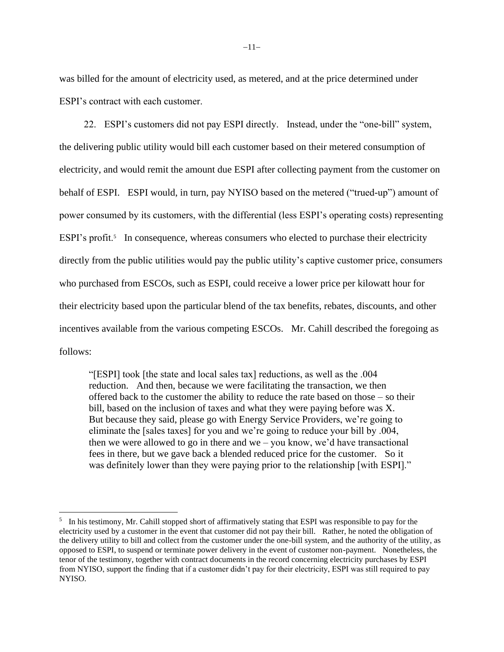was billed for the amount of electricity used, as metered, and at the price determined under ESPI's contract with each customer.

22. ESPI's customers did not pay ESPI directly. Instead, under the "one-bill" system, the delivering public utility would bill each customer based on their metered consumption of electricity, and would remit the amount due ESPI after collecting payment from the customer on behalf of ESPI. ESPI would, in turn, pay NYISO based on the metered ("trued-up") amount of power consumed by its customers, with the differential (less ESPI's operating costs) representing ESPI's profit.<sup>5</sup> In consequence, whereas consumers who elected to purchase their electricity directly from the public utilities would pay the public utility's captive customer price, consumers who purchased from ESCOs, such as ESPI, could receive a lower price per kilowatt hour for their electricity based upon the particular blend of the tax benefits, rebates, discounts, and other incentives available from the various competing ESCOs. Mr. Cahill described the foregoing as follows:

"[ESPI] took [the state and local sales tax] reductions, as well as the .004 reduction. And then, because we were facilitating the transaction, we then offered back to the customer the ability to reduce the rate based on those – so their bill, based on the inclusion of taxes and what they were paying before was X. But because they said, please go with Energy Service Providers, we're going to eliminate the [sales taxes] for you and we're going to reduce your bill by .004, then we were allowed to go in there and we – you know, we'd have transactional fees in there, but we gave back a blended reduced price for the customer. So it was definitely lower than they were paying prior to the relationship [with ESPI]."

 $<sup>5</sup>$  In his testimony, Mr. Cahill stopped short of affirmatively stating that ESPI was responsible to pay for the</sup> electricity used by a customer in the event that customer did not pay their bill. Rather, he noted the obligation of the delivery utility to bill and collect from the customer under the one-bill system, and the authority of the utility, as opposed to ESPI, to suspend or terminate power delivery in the event of customer non-payment. Nonetheless, the tenor of the testimony, together with contract documents in the record concerning electricity purchases by ESPI from NYISO, support the finding that if a customer didn't pay for their electricity, ESPI was still required to pay NYISO.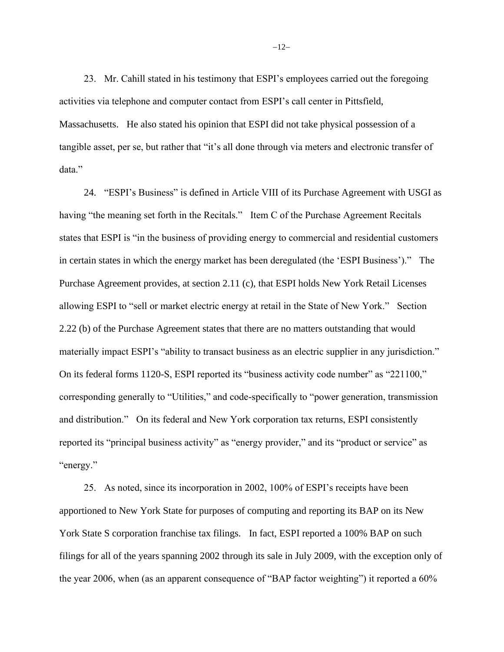23. Mr. Cahill stated in his testimony that ESPI's employees carried out the foregoing activities via telephone and computer contact from ESPI's call center in Pittsfield, Massachusetts. He also stated his opinion that ESPI did not take physical possession of a tangible asset, per se, but rather that "it's all done through via meters and electronic transfer of data."

24. "ESPI's Business" is defined in Article VIII of its Purchase Agreement with USGI as having "the meaning set forth in the Recitals." Item C of the Purchase Agreement Recitals states that ESPI is "in the business of providing energy to commercial and residential customers in certain states in which the energy market has been deregulated (the 'ESPI Business')." The Purchase Agreement provides, at section 2.11 (c), that ESPI holds New York Retail Licenses allowing ESPI to "sell or market electric energy at retail in the State of New York." Section 2.22 (b) of the Purchase Agreement states that there are no matters outstanding that would materially impact ESPI's "ability to transact business as an electric supplier in any jurisdiction." On its federal forms 1120-S, ESPI reported its "business activity code number" as "221100," corresponding generally to "Utilities," and code-specifically to "power generation, transmission and distribution." On its federal and New York corporation tax returns, ESPI consistently reported its "principal business activity" as "energy provider," and its "product or service" as "energy."

25. As noted, since its incorporation in 2002, 100% of ESPI's receipts have been apportioned to New York State for purposes of computing and reporting its BAP on its New York State S corporation franchise tax filings. In fact, ESPI reported a 100% BAP on such filings for all of the years spanning 2002 through its sale in July 2009, with the exception only of the year 2006, when (as an apparent consequence of "BAP factor weighting") it reported a 60%

−12−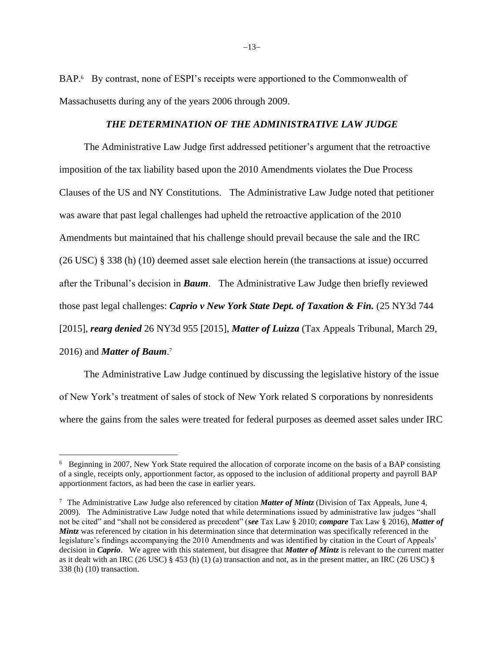BAP.<sup>6</sup> By contrast, none of ESPI's receipts were apportioned to the Commonwealth of Massachusetts during any of the years 2006 through 2009.

## *THE DETERMINATION OF THE ADMINISTRATIVE LAW JUDGE*

The Administrative Law Judge first addressed petitioner's argument that the retroactive imposition of the tax liability based upon the 2010 Amendments violates the Due Process Clauses of the US and NY Constitutions. The Administrative Law Judge noted that petitioner was aware that past legal challenges had upheld the retroactive application of the 2010 Amendments but maintained that his challenge should prevail because the sale and the IRC (26 USC) § 338 (h) (10) deemed asset sale election herein (the transactions at issue) occurred after the Tribunal's decision in *Baum*. The Administrative Law Judge then briefly reviewed those past legal challenges: *Caprio v New York State Dept. of Taxation & Fin.* (25 NY3d 744 [2015], *rearg denied* 26 NY3d 955 [2015], *Matter of Luizza* (Tax Appeals Tribunal, March 29, 2016) and *Matter of Baum*. 7

The Administrative Law Judge continued by discussing the legislative history of the issue of New York's treatment of sales of stock of New York related S corporations by nonresidents where the gains from the sales were treated for federal purposes as deemed asset sales under IRC

<sup>&</sup>lt;sup>6</sup> Beginning in 2007, New York State required the allocation of corporate income on the basis of a BAP consisting of a single, receipts only, apportionment factor, as opposed to the inclusion of additional property and payroll BAP apportionment factors, as had been the case in earlier years.

<sup>7</sup> The Administrative Law Judge also referenced by citation *Matter of Mintz* (Division of Tax Appeals, June 4, 2009). The Administrative Law Judge noted that while determinations issued by administrative law judges "shall not be cited" and "shall not be considered as precedent" (*see* Tax Law § 2010; *compare* Tax Law § 2016), *Matter of Mintz* was referenced by citation in his determination since that determination was specifically referenced in the legislature's findings accompanying the 2010 Amendments and was identified by citation in the Court of Appeals' decision in *Caprio*. We agree with this statement, but disagree that *Matter of Mintz* is relevant to the current matter as it dealt with an IRC (26 USC)  $\S$  453 (h) (1) (a) transaction and not, as in the present matter, an IRC (26 USC)  $\S$ 338 (h) (10) transaction.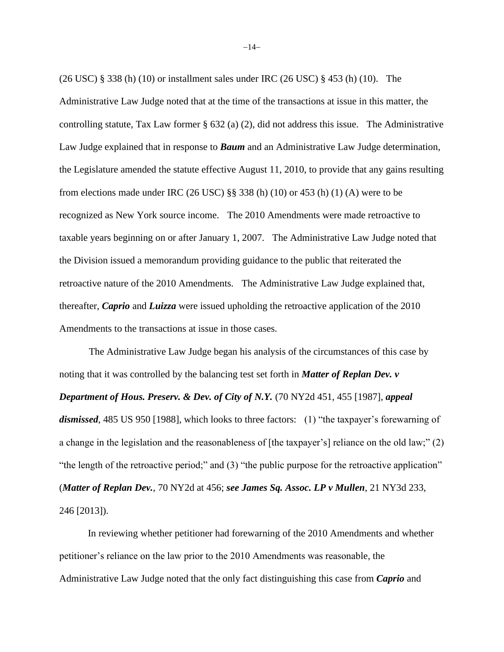(26 USC) § 338 (h) (10) or installment sales under IRC (26 USC) § 453 (h) (10). The Administrative Law Judge noted that at the time of the transactions at issue in this matter, the controlling statute, Tax Law former § 632 (a) (2), did not address this issue. The Administrative Law Judge explained that in response to *Baum* and an Administrative Law Judge determination, the Legislature amended the statute effective August 11, 2010, to provide that any gains resulting from elections made under IRC (26 USC)  $\S$ § 338 (h) (10) or 453 (h) (1) (A) were to be recognized as New York source income. The 2010 Amendments were made retroactive to taxable years beginning on or after January 1, 2007. The Administrative Law Judge noted that the Division issued a memorandum providing guidance to the public that reiterated the retroactive nature of the 2010 Amendments. The Administrative Law Judge explained that, thereafter, *Caprio* and *Luizza* were issued upholding the retroactive application of the 2010 Amendments to the transactions at issue in those cases.

The Administrative Law Judge began his analysis of the circumstances of this case by noting that it was controlled by the balancing test set forth in *Matter of Replan Dev. v Department of Hous. Preserv. & Dev. of City of N.Y.* (70 NY2d 451, 455 [1987], *appeal dismissed*, 485 US 950 [1988], which looks to three factors: (1) "the taxpayer's forewarning of a change in the legislation and the reasonableness of [the taxpayer's] reliance on the old law;" (2) "the length of the retroactive period;" and (3) "the public purpose for the retroactive application" (*Matter of Replan Dev.*, 70 NY2d at 456; *see James Sq. Assoc. LP v Mullen*, 21 NY3d 233, 246 [2013]).

In reviewing whether petitioner had forewarning of the 2010 Amendments and whether petitioner's reliance on the law prior to the 2010 Amendments was reasonable, the Administrative Law Judge noted that the only fact distinguishing this case from *Caprio* and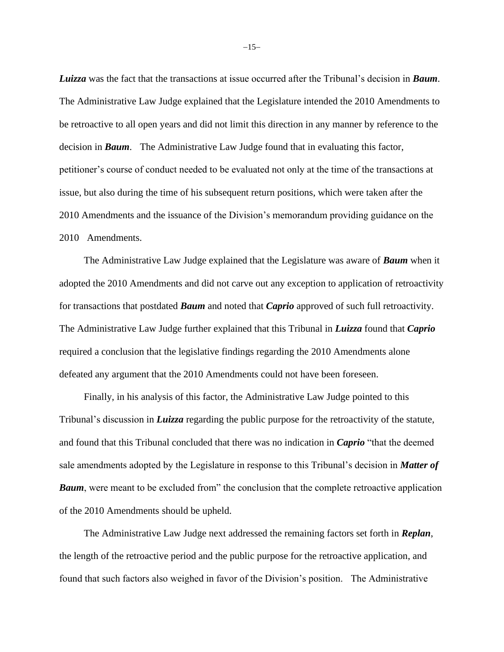*Luizza* was the fact that the transactions at issue occurred after the Tribunal's decision in *Baum*. The Administrative Law Judge explained that the Legislature intended the 2010 Amendments to be retroactive to all open years and did not limit this direction in any manner by reference to the decision in *Baum*. The Administrative Law Judge found that in evaluating this factor, petitioner's course of conduct needed to be evaluated not only at the time of the transactions at issue, but also during the time of his subsequent return positions, which were taken after the 2010 Amendments and the issuance of the Division's memorandum providing guidance on the 2010 Amendments.

The Administrative Law Judge explained that the Legislature was aware of *Baum* when it adopted the 2010 Amendments and did not carve out any exception to application of retroactivity for transactions that postdated *Baum* and noted that *Caprio* approved of such full retroactivity. The Administrative Law Judge further explained that this Tribunal in *Luizza* found that *Caprio* required a conclusion that the legislative findings regarding the 2010 Amendments alone defeated any argument that the 2010 Amendments could not have been foreseen.

Finally, in his analysis of this factor, the Administrative Law Judge pointed to this Tribunal's discussion in *Luizza* regarding the public purpose for the retroactivity of the statute, and found that this Tribunal concluded that there was no indication in *Caprio* "that the deemed sale amendments adopted by the Legislature in response to this Tribunal's decision in *Matter of*  **Baum**, were meant to be excluded from" the conclusion that the complete retroactive application of the 2010 Amendments should be upheld.

The Administrative Law Judge next addressed the remaining factors set forth in *Replan*, the length of the retroactive period and the public purpose for the retroactive application, and found that such factors also weighed in favor of the Division's position. The Administrative

−15−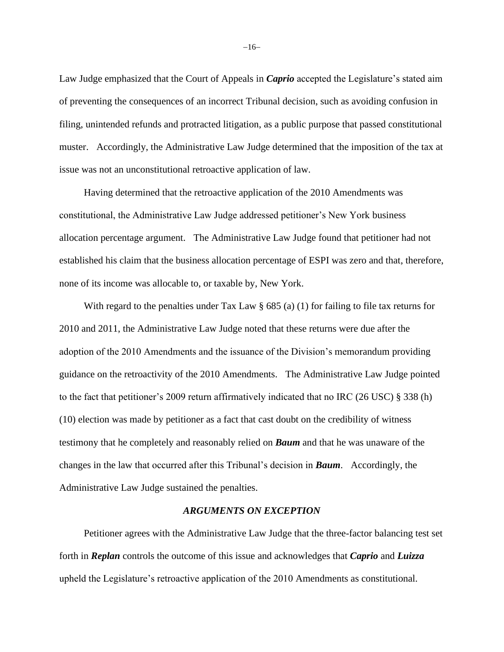Law Judge emphasized that the Court of Appeals in *Caprio* accepted the Legislature's stated aim of preventing the consequences of an incorrect Tribunal decision, such as avoiding confusion in filing, unintended refunds and protracted litigation, as a public purpose that passed constitutional muster. Accordingly, the Administrative Law Judge determined that the imposition of the tax at issue was not an unconstitutional retroactive application of law.

Having determined that the retroactive application of the 2010 Amendments was constitutional, the Administrative Law Judge addressed petitioner's New York business allocation percentage argument. The Administrative Law Judge found that petitioner had not established his claim that the business allocation percentage of ESPI was zero and that, therefore, none of its income was allocable to, or taxable by, New York.

With regard to the penalties under Tax Law  $\S 685$  (a) (1) for failing to file tax returns for 2010 and 2011, the Administrative Law Judge noted that these returns were due after the adoption of the 2010 Amendments and the issuance of the Division's memorandum providing guidance on the retroactivity of the 2010 Amendments. The Administrative Law Judge pointed to the fact that petitioner's 2009 return affirmatively indicated that no IRC (26 USC) § 338 (h) (10) election was made by petitioner as a fact that cast doubt on the credibility of witness testimony that he completely and reasonably relied on *Baum* and that he was unaware of the changes in the law that occurred after this Tribunal's decision in *Baum*. Accordingly, the Administrative Law Judge sustained the penalties.

### *ARGUMENTS ON EXCEPTION*

Petitioner agrees with the Administrative Law Judge that the three-factor balancing test set forth in *Replan* controls the outcome of this issue and acknowledges that *Caprio* and *Luizza* upheld the Legislature's retroactive application of the 2010 Amendments as constitutional.

−16−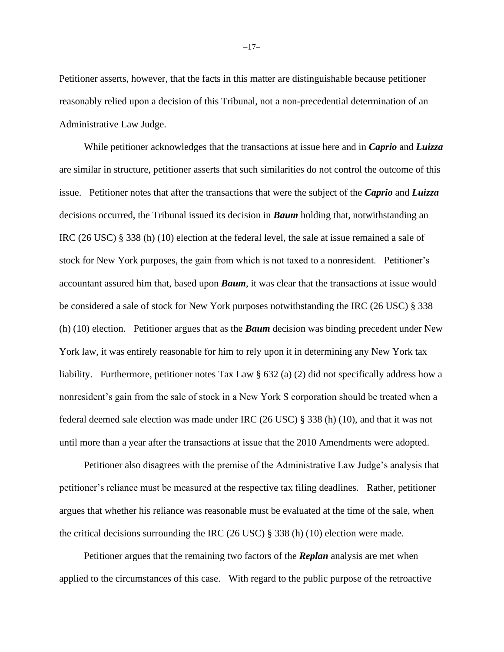Petitioner asserts, however, that the facts in this matter are distinguishable because petitioner reasonably relied upon a decision of this Tribunal, not a non-precedential determination of an Administrative Law Judge.

While petitioner acknowledges that the transactions at issue here and in *Caprio* and *Luizza* are similar in structure, petitioner asserts that such similarities do not control the outcome of this issue. Petitioner notes that after the transactions that were the subject of the *Caprio* and *Luizza* decisions occurred, the Tribunal issued its decision in *Baum* holding that, notwithstanding an IRC (26 USC) § 338 (h) (10) election at the federal level, the sale at issue remained a sale of stock for New York purposes, the gain from which is not taxed to a nonresident. Petitioner's accountant assured him that, based upon *Baum*, it was clear that the transactions at issue would be considered a sale of stock for New York purposes notwithstanding the IRC (26 USC) § 338 (h) (10) election. Petitioner argues that as the *Baum* decision was binding precedent under New York law, it was entirely reasonable for him to rely upon it in determining any New York tax liability. Furthermore, petitioner notes Tax Law § 632 (a) (2) did not specifically address how a nonresident's gain from the sale of stock in a New York S corporation should be treated when a federal deemed sale election was made under IRC (26 USC) § 338 (h) (10), and that it was not until more than a year after the transactions at issue that the 2010 Amendments were adopted.

Petitioner also disagrees with the premise of the Administrative Law Judge's analysis that petitioner's reliance must be measured at the respective tax filing deadlines. Rather, petitioner argues that whether his reliance was reasonable must be evaluated at the time of the sale, when the critical decisions surrounding the IRC (26 USC) § 338 (h) (10) election were made.

Petitioner argues that the remaining two factors of the *Replan* analysis are met when applied to the circumstances of this case. With regard to the public purpose of the retroactive

−17−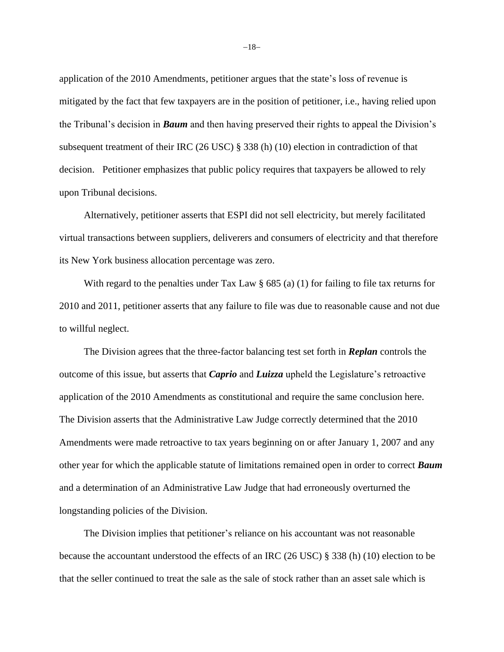application of the 2010 Amendments, petitioner argues that the state's loss of revenue is mitigated by the fact that few taxpayers are in the position of petitioner, i.e., having relied upon the Tribunal's decision in *Baum* and then having preserved their rights to appeal the Division's subsequent treatment of their IRC (26 USC) § 338 (h) (10) election in contradiction of that decision. Petitioner emphasizes that public policy requires that taxpayers be allowed to rely upon Tribunal decisions.

Alternatively, petitioner asserts that ESPI did not sell electricity, but merely facilitated virtual transactions between suppliers, deliverers and consumers of electricity and that therefore its New York business allocation percentage was zero.

With regard to the penalties under Tax Law  $\S$  685 (a) (1) for failing to file tax returns for 2010 and 2011, petitioner asserts that any failure to file was due to reasonable cause and not due to willful neglect.

The Division agrees that the three-factor balancing test set forth in *Replan* controls the outcome of this issue, but asserts that *Caprio* and *Luizza* upheld the Legislature's retroactive application of the 2010 Amendments as constitutional and require the same conclusion here. The Division asserts that the Administrative Law Judge correctly determined that the 2010 Amendments were made retroactive to tax years beginning on or after January 1, 2007 and any other year for which the applicable statute of limitations remained open in order to correct *Baum* and a determination of an Administrative Law Judge that had erroneously overturned the longstanding policies of the Division.

The Division implies that petitioner's reliance on his accountant was not reasonable because the accountant understood the effects of an IRC (26 USC) § 338 (h) (10) election to be that the seller continued to treat the sale as the sale of stock rather than an asset sale which is

−18−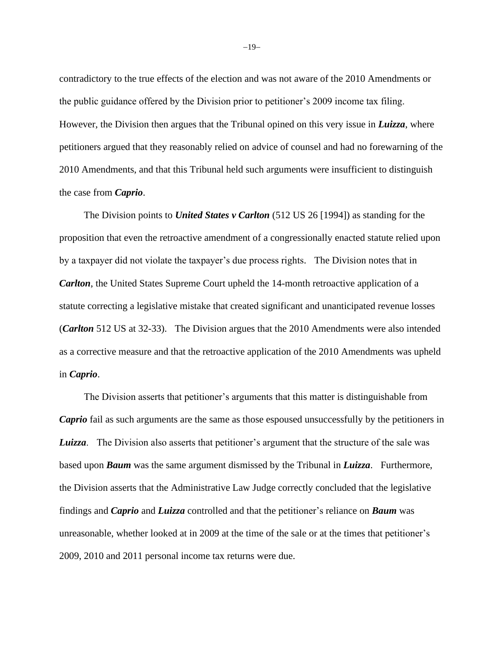contradictory to the true effects of the election and was not aware of the 2010 Amendments or the public guidance offered by the Division prior to petitioner's 2009 income tax filing. However, the Division then argues that the Tribunal opined on this very issue in *Luizza*, where petitioners argued that they reasonably relied on advice of counsel and had no forewarning of the 2010 Amendments, and that this Tribunal held such arguments were insufficient to distinguish the case from *Caprio*.

The Division points to *United States v Carlton* (512 US 26 [1994]) as standing for the proposition that even the retroactive amendment of a congressionally enacted statute relied upon by a taxpayer did not violate the taxpayer's due process rights. The Division notes that in *Carlton*, the United States Supreme Court upheld the 14-month retroactive application of a statute correcting a legislative mistake that created significant and unanticipated revenue losses (*Carlton* 512 US at 32-33). The Division argues that the 2010 Amendments were also intended as a corrective measure and that the retroactive application of the 2010 Amendments was upheld in *Caprio*.

The Division asserts that petitioner's arguments that this matter is distinguishable from *Caprio* fail as such arguments are the same as those espoused unsuccessfully by the petitioners in *Luizza*. The Division also asserts that petitioner's argument that the structure of the sale was based upon *Baum* was the same argument dismissed by the Tribunal in *Luizza*. Furthermore, the Division asserts that the Administrative Law Judge correctly concluded that the legislative findings and *Caprio* and *Luizza* controlled and that the petitioner's reliance on *Baum* was unreasonable, whether looked at in 2009 at the time of the sale or at the times that petitioner's 2009, 2010 and 2011 personal income tax returns were due.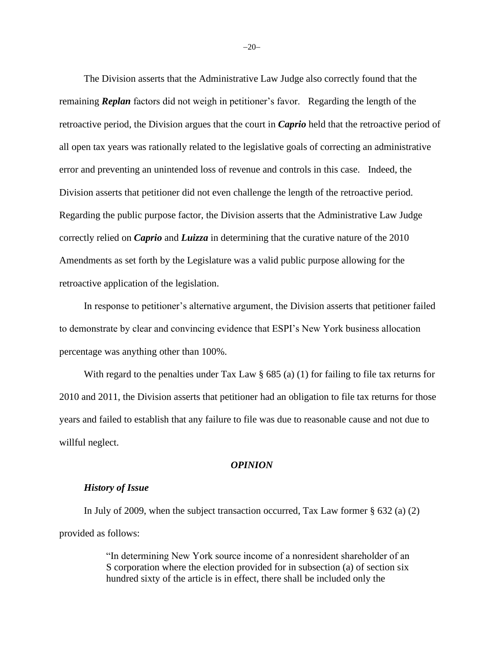The Division asserts that the Administrative Law Judge also correctly found that the remaining *Replan* factors did not weigh in petitioner's favor. Regarding the length of the retroactive period, the Division argues that the court in *Caprio* held that the retroactive period of all open tax years was rationally related to the legislative goals of correcting an administrative error and preventing an unintended loss of revenue and controls in this case. Indeed, the Division asserts that petitioner did not even challenge the length of the retroactive period. Regarding the public purpose factor, the Division asserts that the Administrative Law Judge correctly relied on *Caprio* and *Luizza* in determining that the curative nature of the 2010 Amendments as set forth by the Legislature was a valid public purpose allowing for the retroactive application of the legislation.

In response to petitioner's alternative argument, the Division asserts that petitioner failed to demonstrate by clear and convincing evidence that ESPI's New York business allocation percentage was anything other than 100%.

With regard to the penalties under Tax Law  $\S$  685 (a) (1) for failing to file tax returns for 2010 and 2011, the Division asserts that petitioner had an obligation to file tax returns for those years and failed to establish that any failure to file was due to reasonable cause and not due to willful neglect.

#### *OPINION*

## *History of Issue*

In July of 2009, when the subject transaction occurred, Tax Law former § 632 (a) (2) provided as follows:

> "In determining New York source income of a nonresident shareholder of an S corporation where the election provided for in subsection (a) of section six hundred sixty of the article is in effect, there shall be included only the

−20−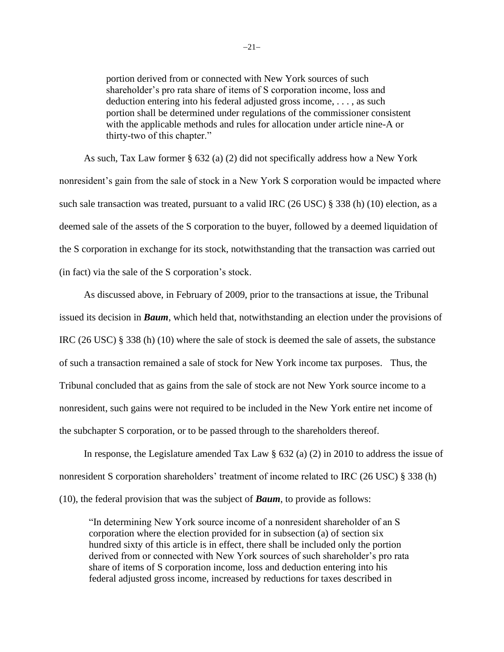portion derived from or connected with New York sources of such shareholder's pro rata share of items of S corporation income, loss and deduction entering into his federal adjusted gross income, . . . , as such portion shall be determined under regulations of the commissioner consistent with the applicable methods and rules for allocation under article nine-A or thirty-two of this chapter."

As such, Tax Law former § 632 (a) (2) did not specifically address how a New York nonresident's gain from the sale of stock in a New York S corporation would be impacted where such sale transaction was treated, pursuant to a valid IRC (26 USC) § 338 (h) (10) election, as a deemed sale of the assets of the S corporation to the buyer, followed by a deemed liquidation of the S corporation in exchange for its stock, notwithstanding that the transaction was carried out (in fact) via the sale of the S corporation's stock.

As discussed above, in February of 2009, prior to the transactions at issue, the Tribunal issued its decision in *Baum*, which held that, notwithstanding an election under the provisions of IRC (26 USC) § 338 (h) (10) where the sale of stock is deemed the sale of assets, the substance of such a transaction remained a sale of stock for New York income tax purposes. Thus, the Tribunal concluded that as gains from the sale of stock are not New York source income to a nonresident, such gains were not required to be included in the New York entire net income of the subchapter S corporation, or to be passed through to the shareholders thereof.

In response, the Legislature amended Tax Law  $\S$  632 (a) (2) in 2010 to address the issue of nonresident S corporation shareholders' treatment of income related to IRC (26 USC) § 338 (h) (10), the federal provision that was the subject of *Baum*, to provide as follows:

"In determining New York source income of a nonresident shareholder of an S corporation where the election provided for in subsection (a) of section six hundred sixty of this article is in effect, there shall be included only the portion derived from or connected with New York sources of such shareholder's pro rata share of items of S corporation income, loss and deduction entering into his federal adjusted gross income, increased by reductions for taxes described in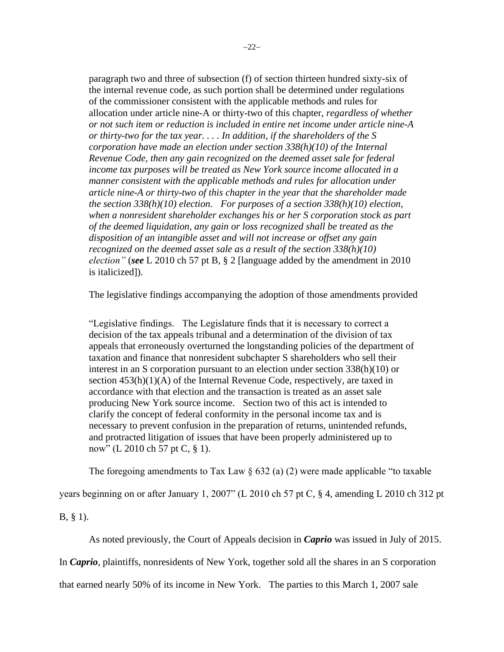paragraph two and three of subsection (f) of section thirteen hundred sixty-six of the internal revenue code, as such portion shall be determined under regulations of the commissioner consistent with the applicable methods and rules for allocation under article nine-A or thirty-two of this chapter, *regardless of whether or not such item or reduction is included in entire net income under article nine-A or thirty-two for the tax year. . . . In addition, if the shareholders of the S corporation have made an election under section 338(h)(10) of the Internal Revenue Code, then any gain recognized on the deemed asset sale for federal income tax purposes will be treated as New York source income allocated in a manner consistent with the applicable methods and rules for allocation under article nine-A or thirty-two of this chapter in the year that the shareholder made the section 338(h)(10) election. For purposes of a section 338(h)(10) election, when a nonresident shareholder exchanges his or her S corporation stock as part of the deemed liquidation, any gain or loss recognized shall be treated as the disposition of an intangible asset and will not increase or offset any gain recognized on the deemed asset sale as a result of the section 338(h)(10) election"* (*see* L 2010 ch 57 pt B, § 2 [language added by the amendment in 2010 is italicized]).

The legislative findings accompanying the adoption of those amendments provided

"Legislative findings. The Legislature finds that it is necessary to correct a decision of the tax appeals tribunal and a determination of the division of tax appeals that erroneously overturned the longstanding policies of the department of taxation and finance that nonresident subchapter S shareholders who sell their interest in an S corporation pursuant to an election under section 338(h)(10) or section  $453(h)(1)(A)$  of the Internal Revenue Code, respectively, are taxed in accordance with that election and the transaction is treated as an asset sale producing New York source income. Section two of this act is intended to clarify the concept of federal conformity in the personal income tax and is necessary to prevent confusion in the preparation of returns, unintended refunds, and protracted litigation of issues that have been properly administered up to now" (L 2010 ch 57 pt C, § 1).

The foregoing amendments to Tax Law  $\S$  632 (a) (2) were made applicable "to taxable"

years beginning on or after January 1, 2007" (L 2010 ch 57 pt C, § 4, amending L 2010 ch 312 pt

B, § 1).

As noted previously, the Court of Appeals decision in *Caprio* was issued in July of 2015.

In *Caprio*, plaintiffs, nonresidents of New York, together sold all the shares in an S corporation

that earned nearly 50% of its income in New York. The parties to this March 1, 2007 sale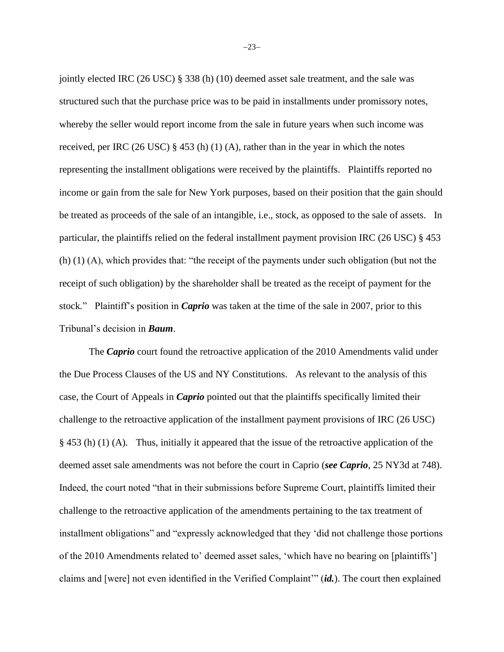jointly elected IRC (26 USC) § 338 (h) (10) deemed asset sale treatment, and the sale was structured such that the purchase price was to be paid in installments under promissory notes, whereby the seller would report income from the sale in future years when such income was received, per IRC (26 USC) § 453 (h) (1) (A), rather than in the year in which the notes representing the installment obligations were received by the plaintiffs. Plaintiffs reported no income or gain from the sale for New York purposes, based on their position that the gain should be treated as proceeds of the sale of an intangible, i.e., stock, as opposed to the sale of assets. In particular, the plaintiffs relied on the federal installment payment provision IRC (26 USC) § 453 (h) (1) (A), which provides that: "the receipt of the payments under such obligation (but not the receipt of such obligation) by the shareholder shall be treated as the receipt of payment for the stock*.*" Plaintiff's position in *Caprio* was taken at the time of the sale in 2007, prior to this Tribunal's decision in *Baum*.

The *Caprio* court found the retroactive application of the 2010 Amendments valid under the Due Process Clauses of the US and NY Constitutions. As relevant to the analysis of this case, the Court of Appeals in *Caprio* pointed out that the plaintiffs specifically limited their challenge to the retroactive application of the installment payment provisions of IRC (26 USC) § 453 (h) (1) (A). Thus, initially it appeared that the issue of the retroactive application of the deemed asset sale amendments was not before the court in Caprio (*see Caprio*, 25 NY3d at 748). Indeed, the court noted "that in their submissions before Supreme Court, plaintiffs limited their challenge to the retroactive application of the amendments pertaining to the tax treatment of installment obligations" and "expressly acknowledged that they 'did not challenge those portions of the 2010 Amendments related to' deemed asset sales, 'which have no bearing on [plaintiffs'] claims and [were] not even identified in the Verified Complaint'" (*id.*). The court then explained

−23−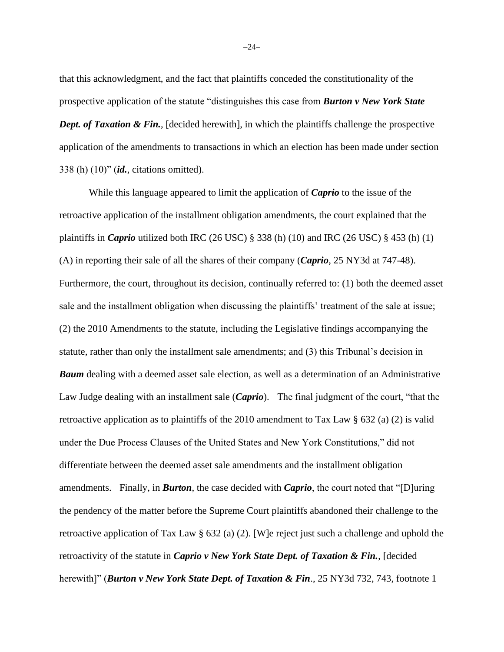that this acknowledgment, and the fact that plaintiffs conceded the constitutionality of the prospective application of the statute "distinguishes this case from *Burton v New York State Dept. of Taxation & Fin.*, [decided herewith], in which the plaintiffs challenge the prospective application of the amendments to transactions in which an election has been made under section 338 (h) (10)" (*id.*, citations omitted).

While this language appeared to limit the application of *Caprio* to the issue of the retroactive application of the installment obligation amendments, the court explained that the plaintiffs in *Caprio* utilized both IRC (26 USC) § 338 (h) (10) and IRC (26 USC) § 453 (h) (1) (A) in reporting their sale of all the shares of their company (*Caprio*, 25 NY3d at 747-48). Furthermore, the court, throughout its decision, continually referred to: (1) both the deemed asset sale and the installment obligation when discussing the plaintiffs' treatment of the sale at issue; (2) the 2010 Amendments to the statute, including the Legislative findings accompanying the statute, rather than only the installment sale amendments; and (3) this Tribunal's decision in *Baum* dealing with a deemed asset sale election, as well as a determination of an Administrative Law Judge dealing with an installment sale (*Caprio*). The final judgment of the court, "that the retroactive application as to plaintiffs of the 2010 amendment to Tax Law § 632 (a) (2) is valid under the Due Process Clauses of the United States and New York Constitutions," did not differentiate between the deemed asset sale amendments and the installment obligation amendments. Finally, in *Burton*, the case decided with *Caprio*, the court noted that "[D]uring the pendency of the matter before the Supreme Court plaintiffs abandoned their challenge to the retroactive application of Tax Law § 632 (a) (2). [W]e reject just such a challenge and uphold the retroactivity of the statute in *Caprio v New York State Dept. of Taxation & Fin.*, [decided herewith]" (*Burton v New York State Dept. of Taxation & Fin*., 25 NY3d 732, 743, footnote 1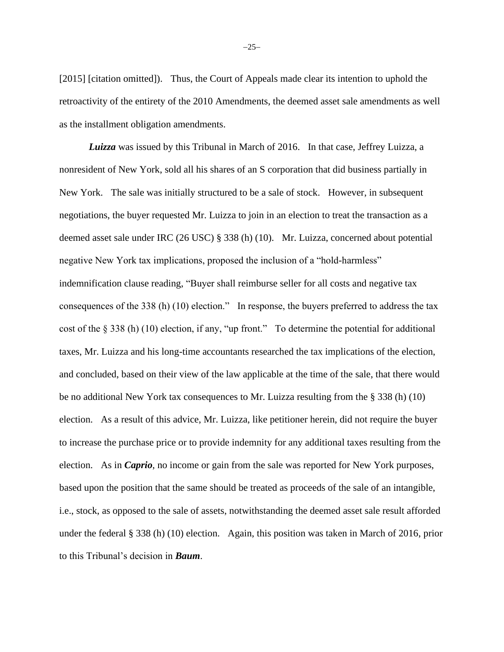[2015] [citation omitted]). Thus, the Court of Appeals made clear its intention to uphold the retroactivity of the entirety of the 2010 Amendments, the deemed asset sale amendments as well as the installment obligation amendments.

*Luizza* was issued by this Tribunal in March of 2016. In that case, Jeffrey Luizza, a nonresident of New York, sold all his shares of an S corporation that did business partially in New York. The sale was initially structured to be a sale of stock. However, in subsequent negotiations, the buyer requested Mr. Luizza to join in an election to treat the transaction as a deemed asset sale under IRC (26 USC) § 338 (h) (10). Mr. Luizza, concerned about potential negative New York tax implications, proposed the inclusion of a "hold-harmless" indemnification clause reading, "Buyer shall reimburse seller for all costs and negative tax consequences of the 338 (h) (10) election." In response, the buyers preferred to address the tax cost of the § 338 (h) (10) election, if any, "up front." To determine the potential for additional taxes, Mr. Luizza and his long-time accountants researched the tax implications of the election, and concluded, based on their view of the law applicable at the time of the sale, that there would be no additional New York tax consequences to Mr. Luizza resulting from the § 338 (h) (10) election. As a result of this advice, Mr. Luizza, like petitioner herein, did not require the buyer to increase the purchase price or to provide indemnity for any additional taxes resulting from the election. As in *Caprio*, no income or gain from the sale was reported for New York purposes, based upon the position that the same should be treated as proceeds of the sale of an intangible, i.e., stock, as opposed to the sale of assets, notwithstanding the deemed asset sale result afforded under the federal § 338 (h) (10) election. Again, this position was taken in March of 2016, prior to this Tribunal's decision in *Baum*.

−25−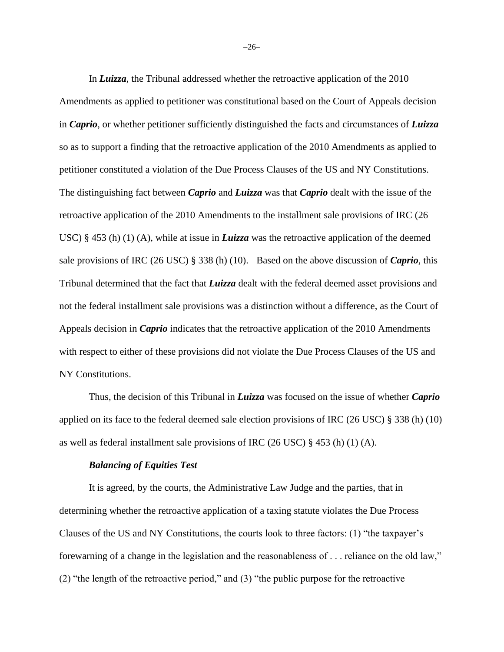In *Luizza*, the Tribunal addressed whether the retroactive application of the 2010 Amendments as applied to petitioner was constitutional based on the Court of Appeals decision in *Caprio*, or whether petitioner sufficiently distinguished the facts and circumstances of *Luizza* so as to support a finding that the retroactive application of the 2010 Amendments as applied to petitioner constituted a violation of the Due Process Clauses of the US and NY Constitutions. The distinguishing fact between *Caprio* and *Luizza* was that *Caprio* dealt with the issue of the retroactive application of the 2010 Amendments to the installment sale provisions of IRC (26 USC) § 453 (h) (1) (A), while at issue in *Luizza* was the retroactive application of the deemed sale provisions of IRC (26 USC) § 338 (h) (10). Based on the above discussion of *Caprio*, this Tribunal determined that the fact that *Luizza* dealt with the federal deemed asset provisions and not the federal installment sale provisions was a distinction without a difference, as the Court of Appeals decision in *Caprio* indicates that the retroactive application of the 2010 Amendments with respect to either of these provisions did not violate the Due Process Clauses of the US and NY Constitutions.

Thus, the decision of this Tribunal in *Luizza* was focused on the issue of whether *Caprio* applied on its face to the federal deemed sale election provisions of IRC (26 USC) § 338 (h) (10) as well as federal installment sale provisions of IRC (26 USC) § 453 (h) (1) (A).

#### *Balancing of Equities Test*

It is agreed, by the courts, the Administrative Law Judge and the parties, that in determining whether the retroactive application of a taxing statute violates the Due Process Clauses of the US and NY Constitutions, the courts look to three factors: (1) "the taxpayer's forewarning of a change in the legislation and the reasonableness of . . . reliance on the old law," (2) "the length of the retroactive period," and (3) "the public purpose for the retroactive

−26−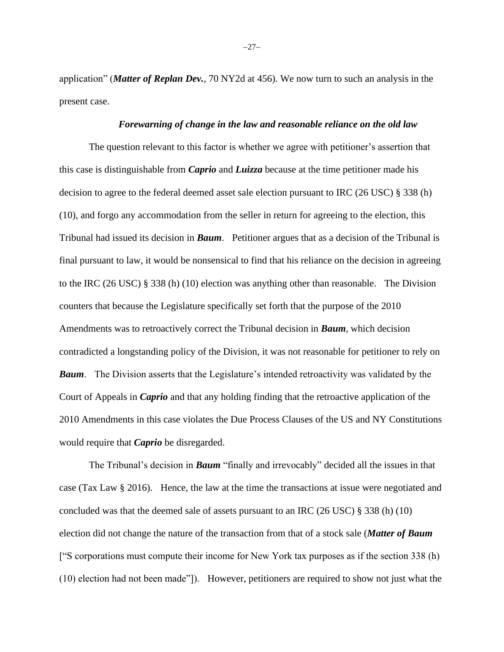application" (*Matter of Replan Dev.*, 70 NY2d at 456). We now turn to such an analysis in the present case.

### *Forewarning of change in the law and reasonable reliance on the old law*

The question relevant to this factor is whether we agree with petitioner's assertion that this case is distinguishable from *Caprio* and *Luizza* because at the time petitioner made his decision to agree to the federal deemed asset sale election pursuant to IRC (26 USC) § 338 (h) (10), and forgo any accommodation from the seller in return for agreeing to the election, this Tribunal had issued its decision in *Baum*. Petitioner argues that as a decision of the Tribunal is final pursuant to law, it would be nonsensical to find that his reliance on the decision in agreeing to the IRC (26 USC) § 338 (h) (10) election was anything other than reasonable. The Division counters that because the Legislature specifically set forth that the purpose of the 2010 Amendments was to retroactively correct the Tribunal decision in *Baum*, which decision contradicted a longstanding policy of the Division, it was not reasonable for petitioner to rely on *Baum*. The Division asserts that the Legislature's intended retroactivity was validated by the Court of Appeals in *Caprio* and that any holding finding that the retroactive application of the 2010 Amendments in this case violates the Due Process Clauses of the US and NY Constitutions would require that *Caprio* be disregarded.

The Tribunal's decision in *Baum* "finally and irrevocably" decided all the issues in that case (Tax Law § 2016). Hence, the law at the time the transactions at issue were negotiated and concluded was that the deemed sale of assets pursuant to an IRC (26 USC)  $\S 338$  (h) (10) election did not change the nature of the transaction from that of a stock sale (*Matter of Baum* ["S corporations must compute their income for New York tax purposes as if the section 338 (h) (10) election had not been made"]). However, petitioners are required to show not just what the

−27−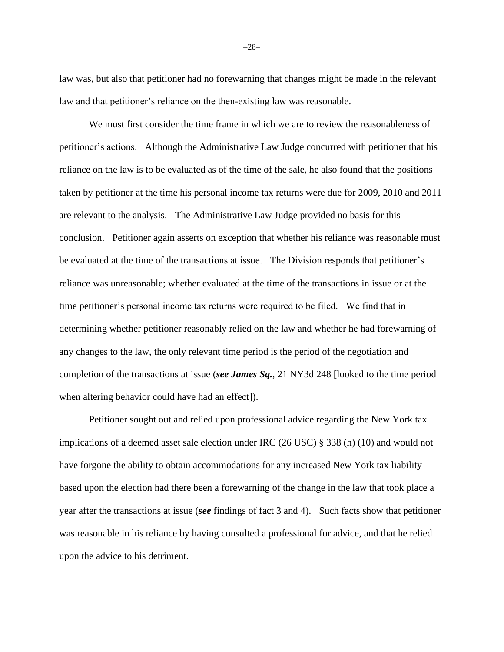law was, but also that petitioner had no forewarning that changes might be made in the relevant law and that petitioner's reliance on the then-existing law was reasonable.

We must first consider the time frame in which we are to review the reasonableness of petitioner's actions. Although the Administrative Law Judge concurred with petitioner that his reliance on the law is to be evaluated as of the time of the sale, he also found that the positions taken by petitioner at the time his personal income tax returns were due for 2009, 2010 and 2011 are relevant to the analysis. The Administrative Law Judge provided no basis for this conclusion. Petitioner again asserts on exception that whether his reliance was reasonable must be evaluated at the time of the transactions at issue. The Division responds that petitioner's reliance was unreasonable; whether evaluated at the time of the transactions in issue or at the time petitioner's personal income tax returns were required to be filed. We find that in determining whether petitioner reasonably relied on the law and whether he had forewarning of any changes to the law, the only relevant time period is the period of the negotiation and completion of the transactions at issue (*see James Sq.*, 21 NY3d 248 [looked to the time period when altering behavior could have had an effect]).

Petitioner sought out and relied upon professional advice regarding the New York tax implications of a deemed asset sale election under IRC (26 USC) § 338 (h) (10) and would not have forgone the ability to obtain accommodations for any increased New York tax liability based upon the election had there been a forewarning of the change in the law that took place a year after the transactions at issue (*see* findings of fact 3 and 4). Such facts show that petitioner was reasonable in his reliance by having consulted a professional for advice, and that he relied upon the advice to his detriment.

−28−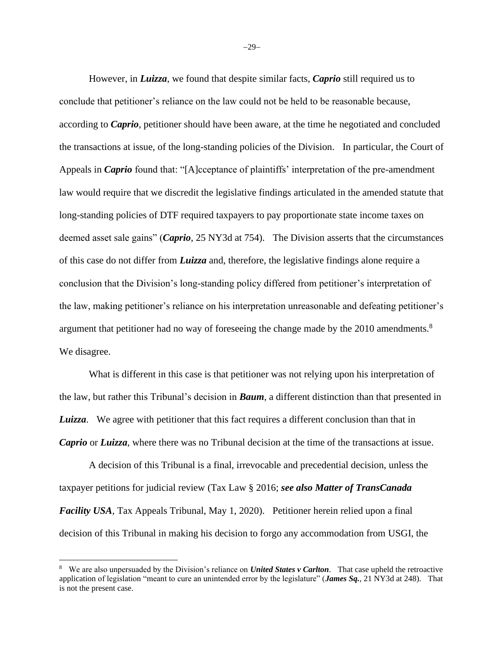However, in *Luizza*, we found that despite similar facts, *Caprio* still required us to conclude that petitioner's reliance on the law could not be held to be reasonable because, according to *Caprio*, petitioner should have been aware, at the time he negotiated and concluded the transactions at issue, of the long-standing policies of the Division. In particular, the Court of Appeals in *Caprio* found that: "[A]cceptance of plaintiffs' interpretation of the pre-amendment law would require that we discredit the legislative findings articulated in the amended statute that long-standing policies of DTF required taxpayers to pay proportionate state income taxes on deemed asset sale gains" (*Caprio*, 25 NY3d at 754). The Division asserts that the circumstances of this case do not differ from *Luizza* and, therefore, the legislative findings alone require a conclusion that the Division's long-standing policy differed from petitioner's interpretation of the law, making petitioner's reliance on his interpretation unreasonable and defeating petitioner's argument that petitioner had no way of foreseeing the change made by the 2010 amendments.<sup>8</sup> We disagree.

What is different in this case is that petitioner was not relying upon his interpretation of the law, but rather this Tribunal's decision in *Baum*, a different distinction than that presented in *Luizza*. We agree with petitioner that this fact requires a different conclusion than that in *Caprio* or *Luizza*, where there was no Tribunal decision at the time of the transactions at issue.

A decision of this Tribunal is a final, irrevocable and precedential decision, unless the taxpayer petitions for judicial review (Tax Law § 2016; *see also Matter of TransCanada Facility USA*, Tax Appeals Tribunal, May 1, 2020). Petitioner herein relied upon a final decision of this Tribunal in making his decision to forgo any accommodation from USGI, the

−29−

<sup>8</sup> We are also unpersuaded by the Division's reliance on *United States v Carlton*. That case upheld the retroactive application of legislation "meant to cure an unintended error by the legislature" (*James Sq.*, 21 NY3d at 248). That is not the present case.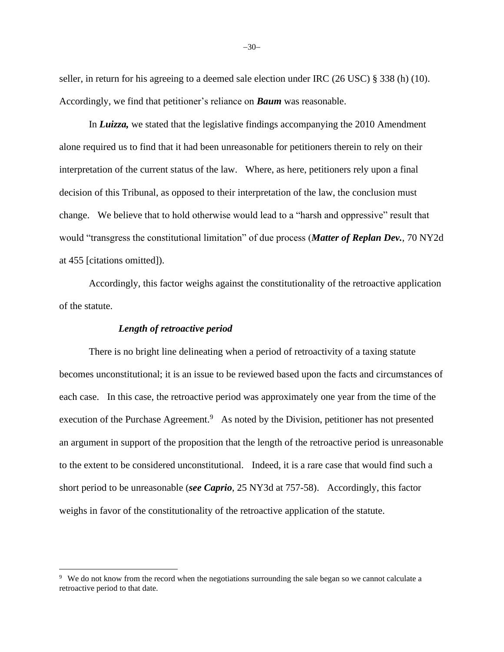seller, in return for his agreeing to a deemed sale election under IRC (26 USC) § 338 (h) (10). Accordingly, we find that petitioner's reliance on *Baum* was reasonable.

In *Luizza,* we stated that the legislative findings accompanying the 2010 Amendment alone required us to find that it had been unreasonable for petitioners therein to rely on their interpretation of the current status of the law. Where, as here, petitioners rely upon a final decision of this Tribunal, as opposed to their interpretation of the law, the conclusion must change. We believe that to hold otherwise would lead to a "harsh and oppressive" result that would "transgress the constitutional limitation" of due process (*Matter of Replan Dev.*, 70 NY2d at 455 [citations omitted]).

Accordingly, this factor weighs against the constitutionality of the retroactive application of the statute.

### *Length of retroactive period*

There is no bright line delineating when a period of retroactivity of a taxing statute becomes unconstitutional; it is an issue to be reviewed based upon the facts and circumstances of each case. In this case, the retroactive period was approximately one year from the time of the execution of the Purchase Agreement.<sup>9</sup> As noted by the Division, petitioner has not presented an argument in support of the proposition that the length of the retroactive period is unreasonable to the extent to be considered unconstitutional. Indeed, it is a rare case that would find such a short period to be unreasonable (*see Caprio*, 25 NY3d at 757-58). Accordingly, this factor weighs in favor of the constitutionality of the retroactive application of the statute.

<sup>&</sup>lt;sup>9</sup> We do not know from the record when the negotiations surrounding the sale began so we cannot calculate a retroactive period to that date.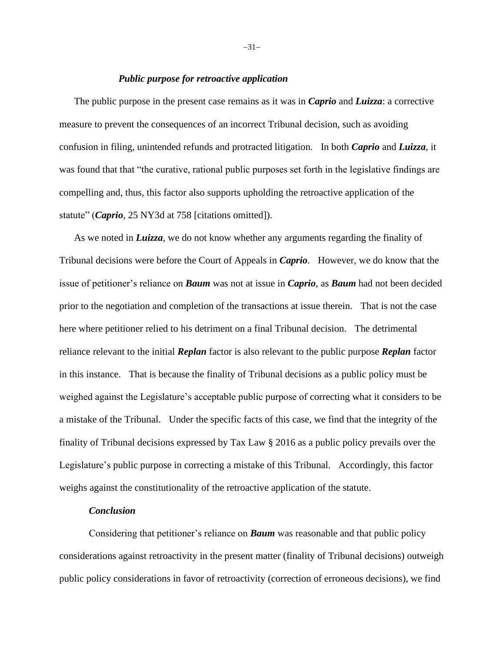## *Public purpose for retroactive application*

The public purpose in the present case remains as it was in *Caprio* and *Luizza*: a corrective measure to prevent the consequences of an incorrect Tribunal decision, such as avoiding confusion in filing, unintended refunds and protracted litigation. In both *Caprio* and *Luizza*, it was found that that "the curative, rational public purposes set forth in the legislative findings are compelling and, thus, this factor also supports upholding the retroactive application of the statute" (*Caprio*, 25 NY3d at 758 [citations omitted]).

As we noted in *Luizza*, we do not know whether any arguments regarding the finality of Tribunal decisions were before the Court of Appeals in *Caprio*. However, we do know that the issue of petitioner's reliance on *Baum* was not at issue in *Caprio*, as *Baum* had not been decided prior to the negotiation and completion of the transactions at issue therein. That is not the case here where petitioner relied to his detriment on a final Tribunal decision. The detrimental reliance relevant to the initial *Replan* factor is also relevant to the public purpose *Replan* factor in this instance. That is because the finality of Tribunal decisions as a public policy must be weighed against the Legislature's acceptable public purpose of correcting what it considers to be a mistake of the Tribunal. Under the specific facts of this case, we find that the integrity of the finality of Tribunal decisions expressed by Tax Law § 2016 as a public policy prevails over the Legislature's public purpose in correcting a mistake of this Tribunal. Accordingly, this factor weighs against the constitutionality of the retroactive application of the statute.

## *Conclusion*

Considering that petitioner's reliance on *Baum* was reasonable and that public policy considerations against retroactivity in the present matter (finality of Tribunal decisions) outweigh public policy considerations in favor of retroactivity (correction of erroneous decisions), we find

−31−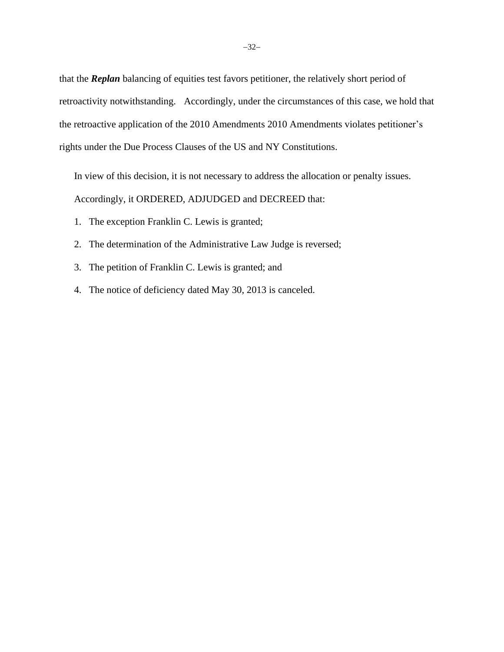that the *Replan* balancing of equities test favors petitioner, the relatively short period of retroactivity notwithstanding. Accordingly, under the circumstances of this case, we hold that the retroactive application of the 2010 Amendments 2010 Amendments violates petitioner's rights under the Due Process Clauses of the US and NY Constitutions.

In view of this decision, it is not necessary to address the allocation or penalty issues. Accordingly, it ORDERED, ADJUDGED and DECREED that:

- 1. The exception Franklin C. Lewis is granted;
- 2. The determination of the Administrative Law Judge is reversed;
- 3. The petition of Franklin C. Lewis is granted; and
- 4. The notice of deficiency dated May 30, 2013 is canceled.